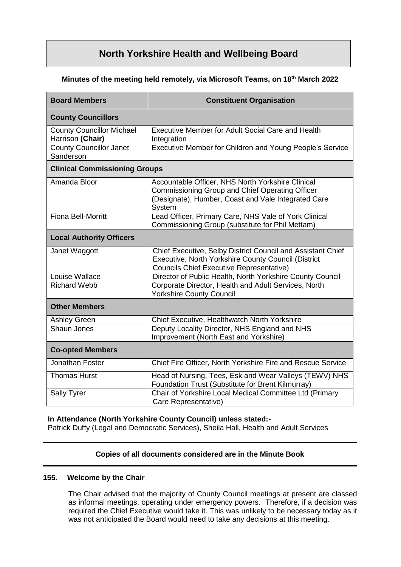# **North Yorkshire Health and Wellbeing Board**

# **Minutes of the meeting held remotely, via Microsoft Teams, on 18 th March 2022**

| <b>Board Members</b>                                 | <b>Constituent Organisation</b>                                                                                                                                       |
|------------------------------------------------------|-----------------------------------------------------------------------------------------------------------------------------------------------------------------------|
| <b>County Councillors</b>                            |                                                                                                                                                                       |
| <b>County Councillor Michael</b><br>Harrison (Chair) | <b>Executive Member for Adult Social Care and Health</b><br>Integration                                                                                               |
| <b>County Councillor Janet</b><br>Sanderson          | Executive Member for Children and Young People's Service                                                                                                              |
| <b>Clinical Commissioning Groups</b>                 |                                                                                                                                                                       |
| Amanda Bloor                                         | Accountable Officer, NHS North Yorkshire Clinical<br>Commissioning Group and Chief Operating Officer<br>(Designate), Humber, Coast and Vale Integrated Care<br>System |
| <b>Fiona Bell-Morritt</b>                            | Lead Officer, Primary Care, NHS Vale of York Clinical<br>Commissioning Group (substitute for Phil Mettam)                                                             |
| <b>Local Authority Officers</b>                      |                                                                                                                                                                       |
| Janet Waggott                                        | Chief Executive, Selby District Council and Assistant Chief<br>Executive, North Yorkshire County Council (District<br><b>Councils Chief Executive Representative)</b> |
| Louise Wallace                                       | Director of Public Health, North Yorkshire County Council                                                                                                             |
| <b>Richard Webb</b>                                  | Corporate Director, Health and Adult Services, North<br><b>Yorkshire County Council</b>                                                                               |
| <b>Other Members</b>                                 |                                                                                                                                                                       |
| <b>Ashley Green</b>                                  | Chief Executive, Healthwatch North Yorkshire                                                                                                                          |
| Shaun Jones                                          | Deputy Locality Director, NHS England and NHS<br>Improvement (North East and Yorkshire)                                                                               |
| <b>Co-opted Members</b>                              |                                                                                                                                                                       |
| Jonathan Foster                                      | Chief Fire Officer, North Yorkshire Fire and Rescue Service                                                                                                           |
| <b>Thomas Hurst</b>                                  | Head of Nursing, Tees, Esk and Wear Valleys (TEWV) NHS<br>Foundation Trust (Substitute for Brent Kilmurray)                                                           |
| Sally Tyrer                                          | Chair of Yorkshire Local Medical Committee Ltd (Primary<br>Care Representative)                                                                                       |

### **In Attendance (North Yorkshire County Council) unless stated:-**

Patrick Duffy (Legal and Democratic Services), Sheila Hall, Health and Adult Services

# **Copies of all documents considered are in the Minute Book**

# **155. Welcome by the Chair**

The Chair advised that the majority of County Council meetings at present are classed as informal meetings, operating under emergency powers. Therefore, if a decision was required the Chief Executive would take it. This was unlikely to be necessary today as it was not anticipated the Board would need to take any decisions at this meeting.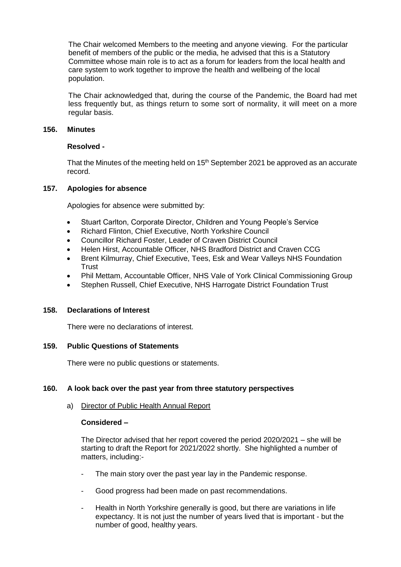The Chair welcomed Members to the meeting and anyone viewing. For the particular benefit of members of the public or the media, he advised that this is a Statutory Committee whose main role is to act as a forum for leaders from the local health and care system to work together to improve the health and wellbeing of the local population.

The Chair acknowledged that, during the course of the Pandemic, the Board had met less frequently but, as things return to some sort of normality, it will meet on a more regular basis.

# **156. Minutes**

# **Resolved -**

That the Minutes of the meeting held on 15<sup>th</sup> September 2021 be approved as an accurate record.

### **157. Apologies for absence**

Apologies for absence were submitted by:

- Stuart Carlton, Corporate Director, Children and Young People's Service
- Richard Flinton, Chief Executive, North Yorkshire Council
- Councillor Richard Foster, Leader of Craven District Council
- Helen Hirst, Accountable Officer, NHS Bradford District and Craven CCG
- Brent Kilmurray, Chief Executive, Tees, Esk and Wear Valleys NHS Foundation Trust
- Phil Mettam, Accountable Officer, NHS Vale of York Clinical Commissioning Group
- Stephen Russell, Chief Executive, NHS Harrogate District Foundation Trust

### **158. Declarations of Interest**

There were no declarations of interest.

### **159. Public Questions of Statements**

There were no public questions or statements.

### **160. A look back over the past year from three statutory perspectives**

### a) Director of Public Health Annual Report

### **Considered –**

The Director advised that her report covered the period 2020/2021 – she will be starting to draft the Report for 2021/2022 shortly. She highlighted a number of matters, including:-

- The main story over the past year lay in the Pandemic response.
- Good progress had been made on past recommendations.
- Health in North Yorkshire generally is good, but there are variations in life expectancy. It is not just the number of years lived that is important - but the number of good, healthy years.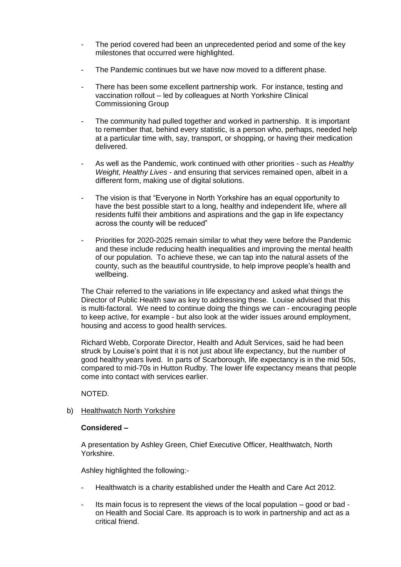- The period covered had been an unprecedented period and some of the key milestones that occurred were highlighted.
- The Pandemic continues but we have now moved to a different phase.
- There has been some excellent partnership work. For instance, testing and vaccination rollout – led by colleagues at North Yorkshire Clinical Commissioning Group
- The community had pulled together and worked in partnership. It is important to remember that, behind every statistic, is a person who, perhaps, needed help at a particular time with, say, transport, or shopping, or having their medication delivered.
- As well as the Pandemic, work continued with other priorities such as *Healthy Weight, Healthy Lives* - and ensuring that services remained open, albeit in a different form, making use of digital solutions.
- The vision is that "Everyone in North Yorkshire has an equal opportunity to have the best possible start to a long, healthy and independent life, where all residents fulfil their ambitions and aspirations and the gap in life expectancy across the county will be reduced"
- Priorities for 2020-2025 remain similar to what they were before the Pandemic and these include reducing health inequalities and improving the mental health of our population. To achieve these, we can tap into the natural assets of the county, such as the beautiful countryside, to help improve people's health and wellbeing.

The Chair referred to the variations in life expectancy and asked what things the Director of Public Health saw as key to addressing these. Louise advised that this is multi-factoral. We need to continue doing the things we can - encouraging people to keep active, for example - but also look at the wider issues around employment, housing and access to good health services.

Richard Webb, Corporate Director, Health and Adult Services, said he had been struck by Louise's point that it is not just about life expectancy, but the number of good healthy years lived. In parts of Scarborough, life expectancy is in the mid 50s, compared to mid-70s in Hutton Rudby. The lower life expectancy means that people come into contact with services earlier.

NOTED.

b) Healthwatch North Yorkshire

# **Considered –**

A presentation by Ashley Green, Chief Executive Officer, Healthwatch, North Yorkshire.

Ashley highlighted the following:-

- Healthwatch is a charity established under the Health and Care Act 2012.
- Its main focus is to represent the views of the local population good or bad on Health and Social Care. Its approach is to work in partnership and act as a critical friend.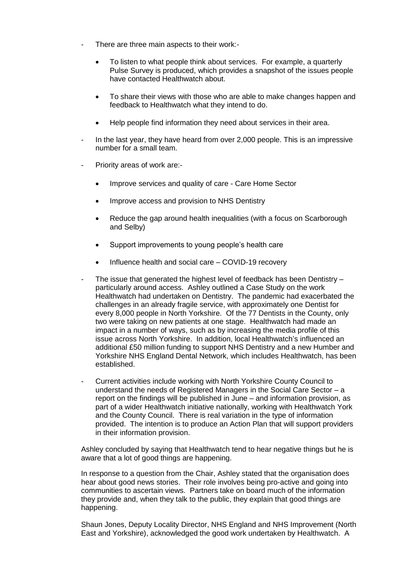- There are three main aspects to their work:-
	- To listen to what people think about services. For example, a quarterly Pulse Survey is produced, which provides a snapshot of the issues people have contacted Healthwatch about.
	- To share their views with those who are able to make changes happen and feedback to Healthwatch what they intend to do.
	- Help people find information they need about services in their area.
- In the last year, they have heard from over 2,000 people. This is an impressive number for a small team.
- Priority areas of work are:-
	- Improve services and quality of care Care Home Sector
	- Improve access and provision to NHS Dentistry
	- Reduce the gap around health inequalities (with a focus on Scarborough and Selby)
	- Support improvements to young people's health care
	- Influence health and social care COVID-19 recovery
- The issue that generated the highest level of feedback has been Dentistry particularly around access. Ashley outlined a Case Study on the work Healthwatch had undertaken on Dentistry. The pandemic had exacerbated the challenges in an already fragile service, with approximately one Dentist for every 8,000 people in North Yorkshire. Of the 77 Dentists in the County, only two were taking on new patients at one stage. Healthwatch had made an impact in a number of ways, such as by increasing the media profile of this issue across North Yorkshire. In addition, local Healthwatch's influenced an additional £50 million funding to support NHS Dentistry and a new Humber and Yorkshire NHS England Dental Network, which includes Healthwatch, has been established.
- Current activities include working with North Yorkshire County Council to understand the needs of Registered Managers in the Social Care Sector – a report on the findings will be published in June – and information provision, as part of a wider Healthwatch initiative nationally, working with Healthwatch York and the County Council. There is real variation in the type of information provided. The intention is to produce an Action Plan that will support providers in their information provision.

Ashley concluded by saying that Healthwatch tend to hear negative things but he is aware that a lot of good things are happening.

In response to a question from the Chair, Ashley stated that the organisation does hear about good news stories. Their role involves being pro-active and going into communities to ascertain views. Partners take on board much of the information they provide and, when they talk to the public, they explain that good things are happening.

Shaun Jones, Deputy Locality Director, NHS England and NHS Improvement (North East and Yorkshire), acknowledged the good work undertaken by Healthwatch. A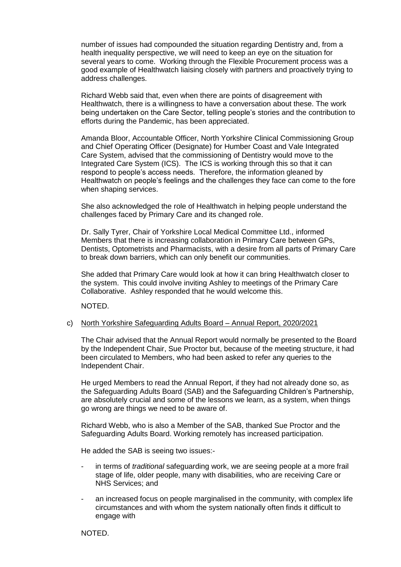number of issues had compounded the situation regarding Dentistry and, from a health inequality perspective, we will need to keep an eye on the situation for several years to come. Working through the Flexible Procurement process was a good example of Healthwatch liaising closely with partners and proactively trying to address challenges.

Richard Webb said that, even when there are points of disagreement with Healthwatch, there is a willingness to have a conversation about these. The work being undertaken on the Care Sector, telling people's stories and the contribution to efforts during the Pandemic, has been appreciated.

Amanda Bloor, Accountable Officer, North Yorkshire Clinical Commissioning Group and Chief Operating Officer (Designate) for Humber Coast and Vale Integrated Care System, advised that the commissioning of Dentistry would move to the Integrated Care System (ICS). The ICS is working through this so that it can respond to people's access needs. Therefore, the information gleaned by Healthwatch on people's feelings and the challenges they face can come to the fore when shaping services.

She also acknowledged the role of Healthwatch in helping people understand the challenges faced by Primary Care and its changed role.

Dr. Sally Tyrer, Chair of Yorkshire Local Medical Committee Ltd., informed Members that there is increasing collaboration in Primary Care between GPs, Dentists, Optometrists and Pharmacists, with a desire from all parts of Primary Care to break down barriers, which can only benefit our communities.

She added that Primary Care would look at how it can bring Healthwatch closer to the system. This could involve inviting Ashley to meetings of the Primary Care Collaborative. Ashley responded that he would welcome this.

NOTED.

### c) North Yorkshire Safeguarding Adults Board – Annual Report, 2020/2021

The Chair advised that the Annual Report would normally be presented to the Board by the Independent Chair, Sue Proctor but, because of the meeting structure, it had been circulated to Members, who had been asked to refer any queries to the Independent Chair.

He urged Members to read the Annual Report, if they had not already done so, as the Safeguarding Adults Board (SAB) and the Safeguarding Children's Partnership, are absolutely crucial and some of the lessons we learn, as a system, when things go wrong are things we need to be aware of.

Richard Webb, who is also a Member of the SAB, thanked Sue Proctor and the Safeguarding Adults Board. Working remotely has increased participation.

He added the SAB is seeing two issues:-

- in terms of *traditional* safeguarding work, we are seeing people at a more frail stage of life, older people, many with disabilities, who are receiving Care or NHS Services; and
- an increased focus on people marginalised in the community, with complex life circumstances and with whom the system nationally often finds it difficult to engage with

NOTED.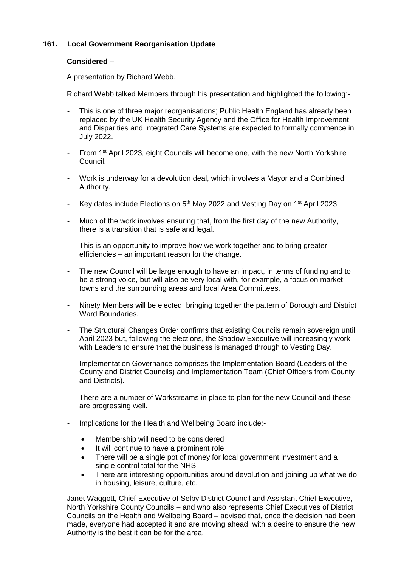# **161. Local Government Reorganisation Update**

# **Considered –**

A presentation by Richard Webb.

Richard Webb talked Members through his presentation and highlighted the following:-

- This is one of three major reorganisations; Public Health England has already been replaced by the UK Health Security Agency and the Office for Health Improvement and Disparities and Integrated Care Systems are expected to formally commence in July 2022.
- From 1<sup>st</sup> April 2023, eight Councils will become one, with the new North Yorkshire Council.
- Work is underway for a devolution deal, which involves a Mayor and a Combined Authority.
- Key dates include Elections on 5<sup>th</sup> May 2022 and Vesting Day on 1<sup>st</sup> April 2023.
- Much of the work involves ensuring that, from the first day of the new Authority, there is a transition that is safe and legal.
- This is an opportunity to improve how we work together and to bring greater efficiencies – an important reason for the change.
- The new Council will be large enough to have an impact, in terms of funding and to be a strong voice, but will also be very local with, for example, a focus on market towns and the surrounding areas and local Area Committees.
- Ninety Members will be elected, bringing together the pattern of Borough and District Ward Boundaries.
- The Structural Changes Order confirms that existing Councils remain sovereign until April 2023 but, following the elections, the Shadow Executive will increasingly work with Leaders to ensure that the business is managed through to Vesting Day.
- Implementation Governance comprises the Implementation Board (Leaders of the County and District Councils) and Implementation Team (Chief Officers from County and Districts).
- There are a number of Workstreams in place to plan for the new Council and these are progressing well.
- Implications for the Health and Wellbeing Board include:-
	- Membership will need to be considered
	- It will continue to have a prominent role
	- There will be a single pot of money for local government investment and a single control total for the NHS
	- There are interesting opportunities around devolution and joining up what we do in housing, leisure, culture, etc.

Janet Waggott, Chief Executive of Selby District Council and Assistant Chief Executive, North Yorkshire County Councils – and who also represents Chief Executives of District Councils on the Health and Wellbeing Board – advised that, once the decision had been made, everyone had accepted it and are moving ahead, with a desire to ensure the new Authority is the best it can be for the area.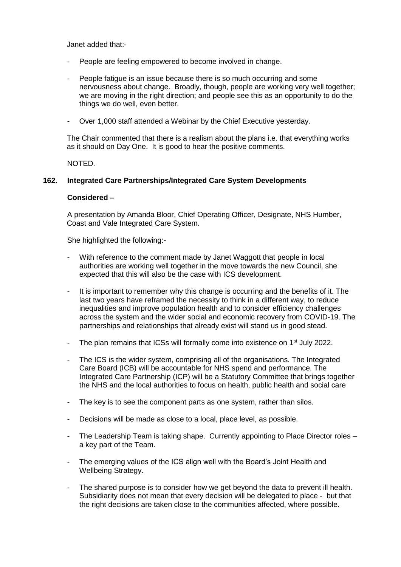Janet added that:-

- People are feeling empowered to become involved in change.
- People fatigue is an issue because there is so much occurring and some nervousness about change. Broadly, though, people are working very well together; we are moving in the right direction; and people see this as an opportunity to do the things we do well, even better.
- Over 1,000 staff attended a Webinar by the Chief Executive yesterday.

The Chair commented that there is a realism about the plans i.e. that everything works as it should on Day One. It is good to hear the positive comments.

NOTED.

# **162. Integrated Care Partnerships/Integrated Care System Developments**

### **Considered –**

A presentation by Amanda Bloor, Chief Operating Officer, Designate, NHS Humber, Coast and Vale Integrated Care System.

She highlighted the following:-

- With reference to the comment made by Janet Waggott that people in local authorities are working well together in the move towards the new Council, she expected that this will also be the case with ICS development.
- It is important to remember why this change is occurring and the benefits of it. The last two years have reframed the necessity to think in a different way, to reduce inequalities and improve population health and to consider efficiency challenges across the system and the wider social and economic recovery from COVID-19. The partnerships and relationships that already exist will stand us in good stead.
- The plan remains that ICSs will formally come into existence on 1<sup>st</sup> July 2022.
- The ICS is the wider system, comprising all of the organisations. The Integrated Care Board (ICB) will be accountable for NHS spend and performance. The Integrated Care Partnership (ICP) will be a Statutory Committee that brings together the NHS and the local authorities to focus on health, public health and social care
- The key is to see the component parts as one system, rather than silos.
- Decisions will be made as close to a local, place level, as possible.
- The Leadership Team is taking shape. Currently appointing to Place Director roles a key part of the Team.
- The emerging values of the ICS align well with the Board's Joint Health and Wellbeing Strategy.
- The shared purpose is to consider how we get beyond the data to prevent ill health. Subsidiarity does not mean that every decision will be delegated to place - but that the right decisions are taken close to the communities affected, where possible.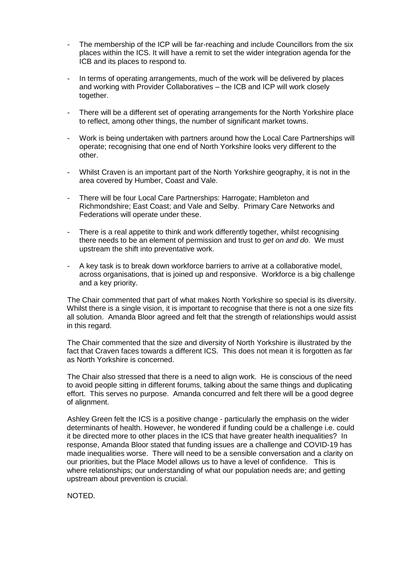- The membership of the ICP will be far-reaching and include Councillors from the six places within the ICS. It will have a remit to set the wider integration agenda for the ICB and its places to respond to.
- In terms of operating arrangements, much of the work will be delivered by places and working with Provider Collaboratives – the ICB and ICP will work closely together.
- There will be a different set of operating arrangements for the North Yorkshire place to reflect, among other things, the number of significant market towns.
- Work is being undertaken with partners around how the Local Care Partnerships will operate; recognising that one end of North Yorkshire looks very different to the other.
- Whilst Craven is an important part of the North Yorkshire geography, it is not in the area covered by Humber, Coast and Vale.
- There will be four Local Care Partnerships: Harrogate; Hambleton and Richmondshire; East Coast; and Vale and Selby. Primary Care Networks and Federations will operate under these.
- There is a real appetite to think and work differently together, whilst recognising there needs to be an element of permission and trust to *get on and do*. We must upstream the shift into preventative work.
- A key task is to break down workforce barriers to arrive at a collaborative model, across organisations, that is joined up and responsive. Workforce is a big challenge and a key priority.

The Chair commented that part of what makes North Yorkshire so special is its diversity. Whilst there is a single vision, it is important to recognise that there is not a one size fits all solution. Amanda Bloor agreed and felt that the strength of relationships would assist in this regard.

The Chair commented that the size and diversity of North Yorkshire is illustrated by the fact that Craven faces towards a different ICS. This does not mean it is forgotten as far as North Yorkshire is concerned.

The Chair also stressed that there is a need to align work. He is conscious of the need to avoid people sitting in different forums, talking about the same things and duplicating effort. This serves no purpose. Amanda concurred and felt there will be a good degree of alignment.

Ashley Green felt the ICS is a positive change - particularly the emphasis on the wider determinants of health. However, he wondered if funding could be a challenge i.e. could it be directed more to other places in the ICS that have greater health inequalities? In response, Amanda Bloor stated that funding issues are a challenge and COVID-19 has made inequalities worse. There will need to be a sensible conversation and a clarity on our priorities, but the Place Model allows us to have a level of confidence. This is where relationships; our understanding of what our population needs are; and getting upstream about prevention is crucial.

NOTED.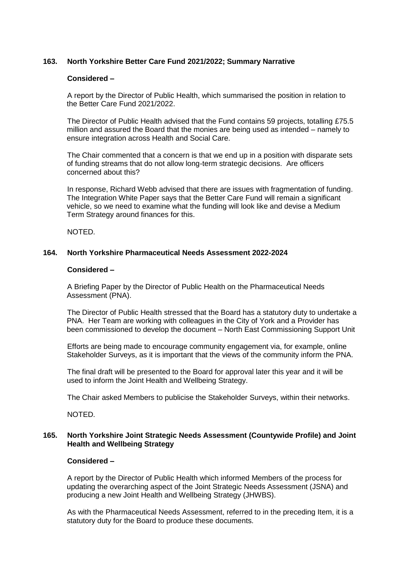# **163. North Yorkshire Better Care Fund 2021/2022; Summary Narrative**

# **Considered –**

A report by the Director of Public Health, which summarised the position in relation to the Better Care Fund 2021/2022.

The Director of Public Health advised that the Fund contains 59 projects, totalling £75.5 million and assured the Board that the monies are being used as intended – namely to ensure integration across Health and Social Care.

The Chair commented that a concern is that we end up in a position with disparate sets of funding streams that do not allow long-term strategic decisions. Are officers concerned about this?

In response, Richard Webb advised that there are issues with fragmentation of funding. The Integration White Paper says that the Better Care Fund will remain a significant vehicle, so we need to examine what the funding will look like and devise a Medium Term Strategy around finances for this.

NOTED.

### **164. North Yorkshire Pharmaceutical Needs Assessment 2022-2024**

### **Considered –**

A Briefing Paper by the Director of Public Health on the Pharmaceutical Needs Assessment (PNA).

The Director of Public Health stressed that the Board has a statutory duty to undertake a PNA. Her Team are working with colleagues in the City of York and a Provider has been commissioned to develop the document – North East Commissioning Support Unit

Efforts are being made to encourage community engagement via, for example, online Stakeholder Surveys, as it is important that the views of the community inform the PNA.

The final draft will be presented to the Board for approval later this year and it will be used to inform the Joint Health and Wellbeing Strategy.

The Chair asked Members to publicise the Stakeholder Surveys, within their networks.

NOTED.

### **165. North Yorkshire Joint Strategic Needs Assessment (Countywide Profile) and Joint Health and Wellbeing Strategy**

# **Considered –**

A report by the Director of Public Health which informed Members of the process for updating the overarching aspect of the Joint Strategic Needs Assessment (JSNA) and producing a new Joint Health and Wellbeing Strategy (JHWBS).

As with the Pharmaceutical Needs Assessment, referred to in the preceding Item, it is a statutory duty for the Board to produce these documents.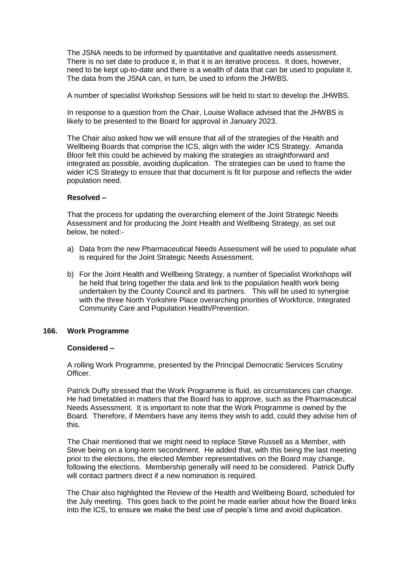The JSNA needs to be informed by quantitative and qualitative needs assessment. There is no set date to produce it, in that it is an iterative process. It does, however, need to be kept up-to-date and there is a wealth of data that can be used to populate it. The data from the JSNA can, in turn, be used to inform the JHWBS.

A number of specialist Workshop Sessions will be held to start to develop the JHWBS.

In response to a question from the Chair, Louise Wallace advised that the JHWBS is likely to be presented to the Board for approval in January 2023.

The Chair also asked how we will ensure that all of the strategies of the Health and Wellbeing Boards that comprise the ICS, align with the wider ICS Strategy. Amanda Bloor felt this could be achieved by making the strategies as straightforward and integrated as possible, avoiding duplication. The strategies can be used to frame the wider ICS Strategy to ensure that that document is fit for purpose and reflects the wider population need.

### **Resolved –**

That the process for updating the overarching element of the Joint Strategic Needs Assessment and for producing the Joint Health and Wellbeing Strategy, as set out below, be noted:-

- a) Data from the new Pharmaceutical Needs Assessment will be used to populate what is required for the Joint Strategic Needs Assessment.
- b) For the Joint Health and Wellbeing Strategy, a number of Specialist Workshops will be held that bring together the data and link to the population health work being undertaken by the County Council and its partners. This will be used to synergise with the three North Yorkshire Place overarching priorities of Workforce, Integrated Community Care and Population Health/Prevention.

### **166. Work Programme**

### **Considered –**

A rolling Work Programme, presented by the Principal Democratic Services Scrutiny Officer.

Patrick Duffy stressed that the Work Programme is fluid, as circumstances can change. He had timetabled in matters that the Board has to approve, such as the Pharmaceutical Needs Assessment. It is important to note that the Work Programme is owned by the Board. Therefore, if Members have any items they wish to add, could they advise him of this.

The Chair mentioned that we might need to replace Steve Russell as a Member, with Steve being on a long-term secondment. He added that, with this being the last meeting prior to the elections, the elected Member representatives on the Board may change, following the elections. Membership generally will need to be considered. Patrick Duffy will contact partners direct if a new nomination is required.

The Chair also highlighted the Review of the Health and Wellbeing Board, scheduled for the July meeting. This goes back to the point he made earlier about how the Board links into the ICS, to ensure we make the best use of people's time and avoid duplication.